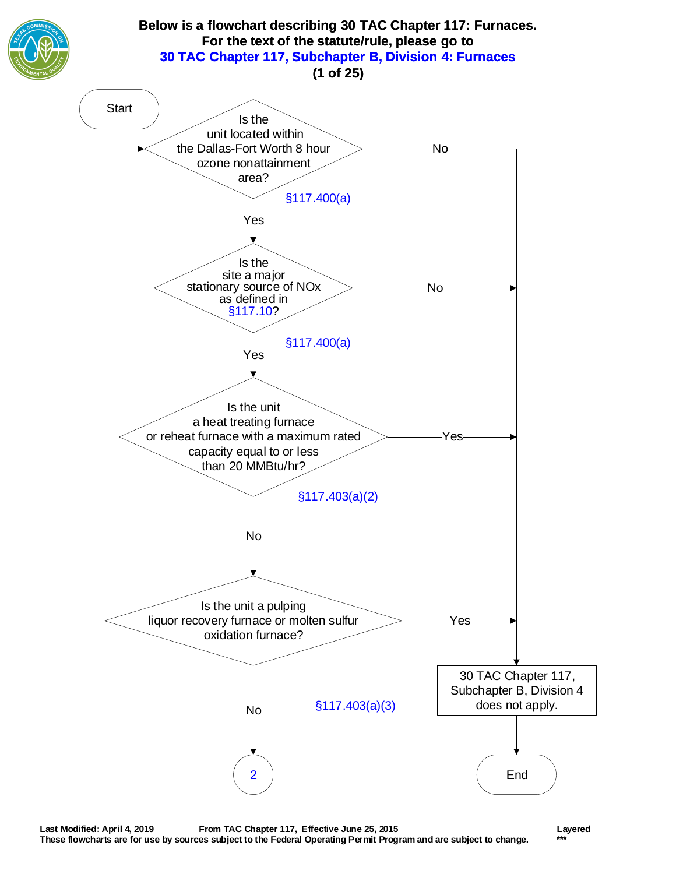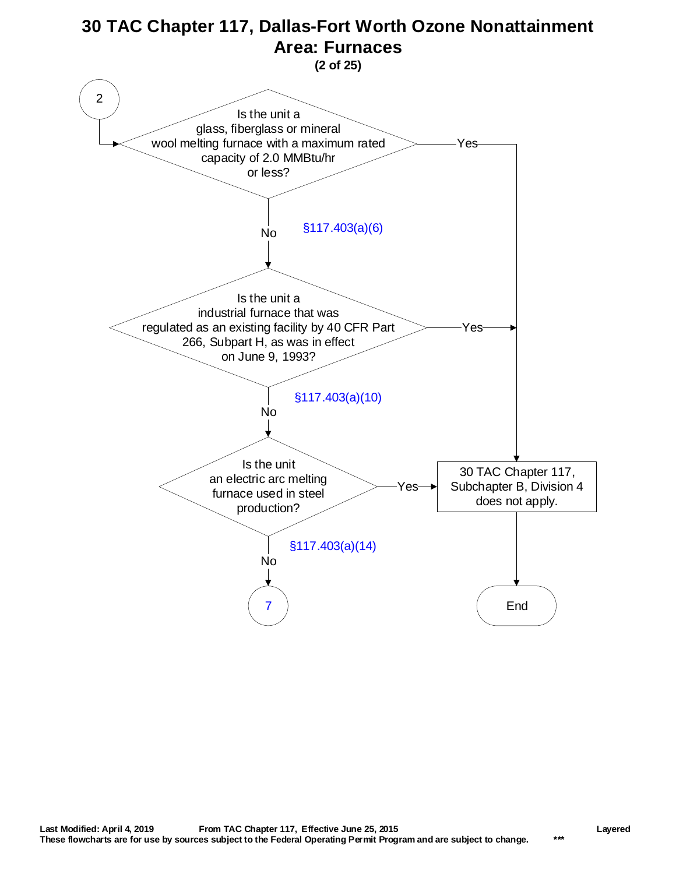<span id="page-1-0"></span>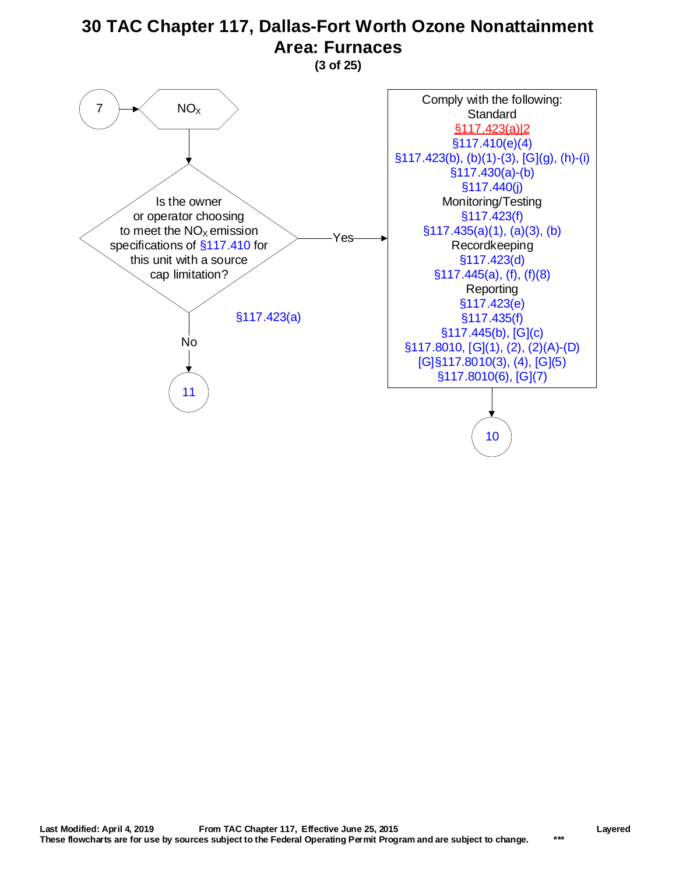**(3 of 25)**

<span id="page-2-0"></span>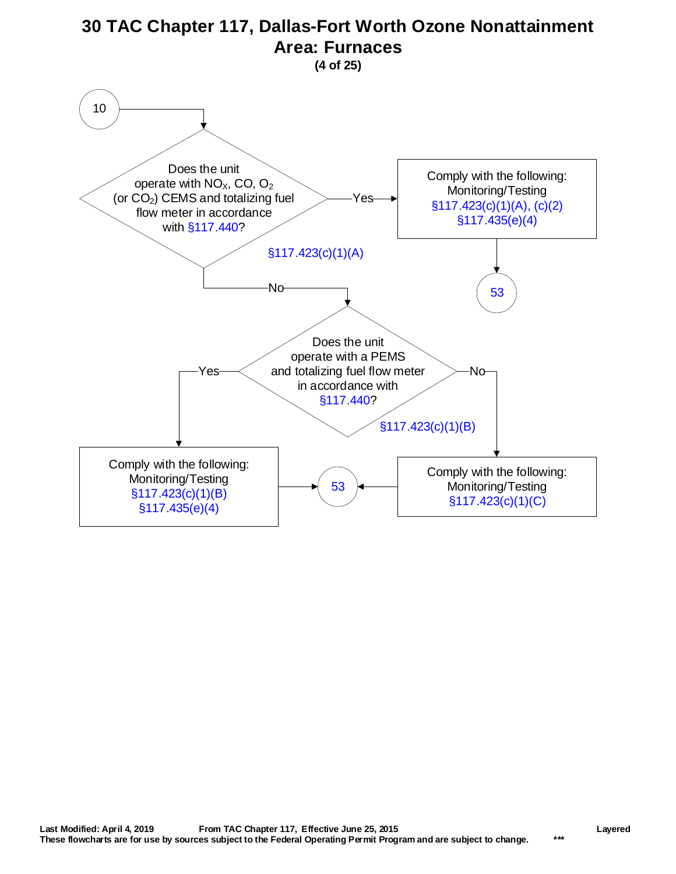<span id="page-3-0"></span>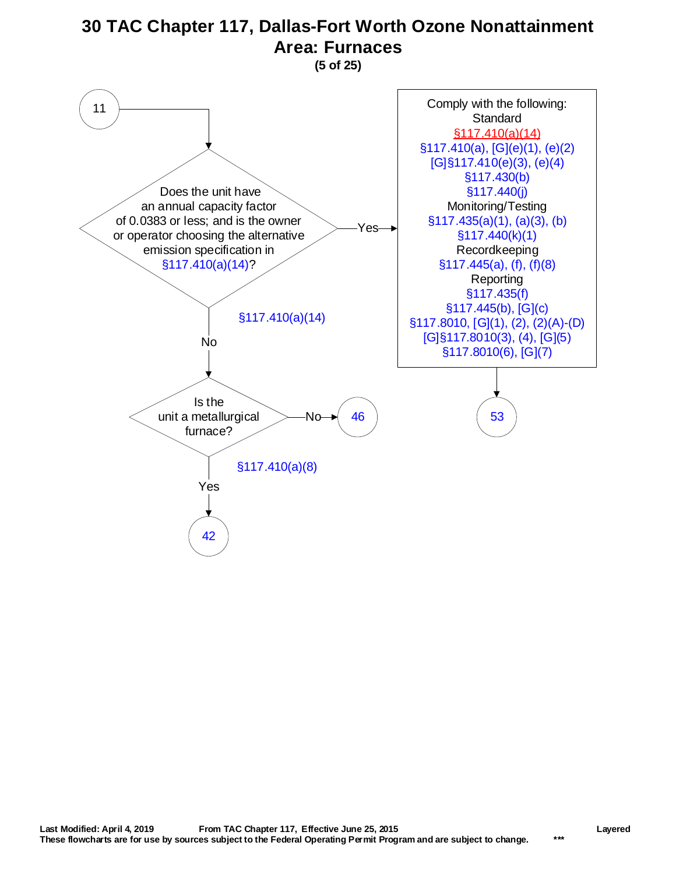**(5 of 25)**

<span id="page-4-0"></span>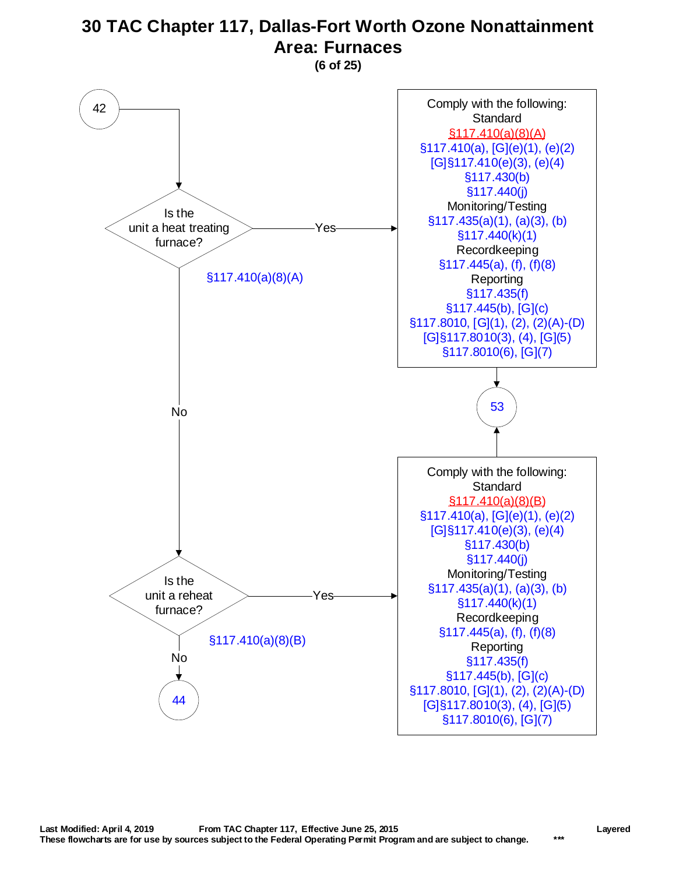**(6 of 25)**

<span id="page-5-0"></span>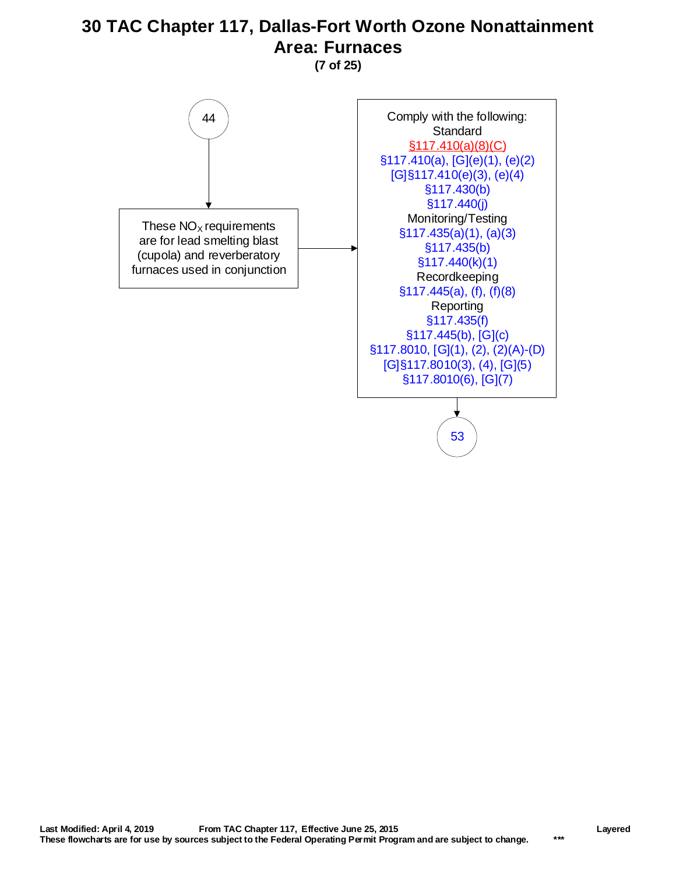**(7 of 25)**

<span id="page-6-0"></span>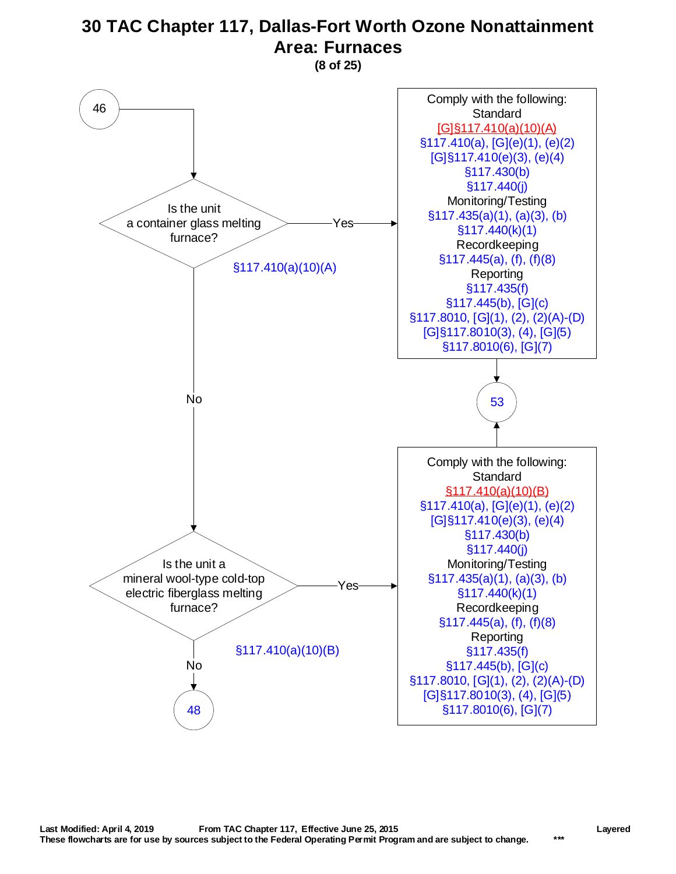**(8 of 25)**

<span id="page-7-0"></span>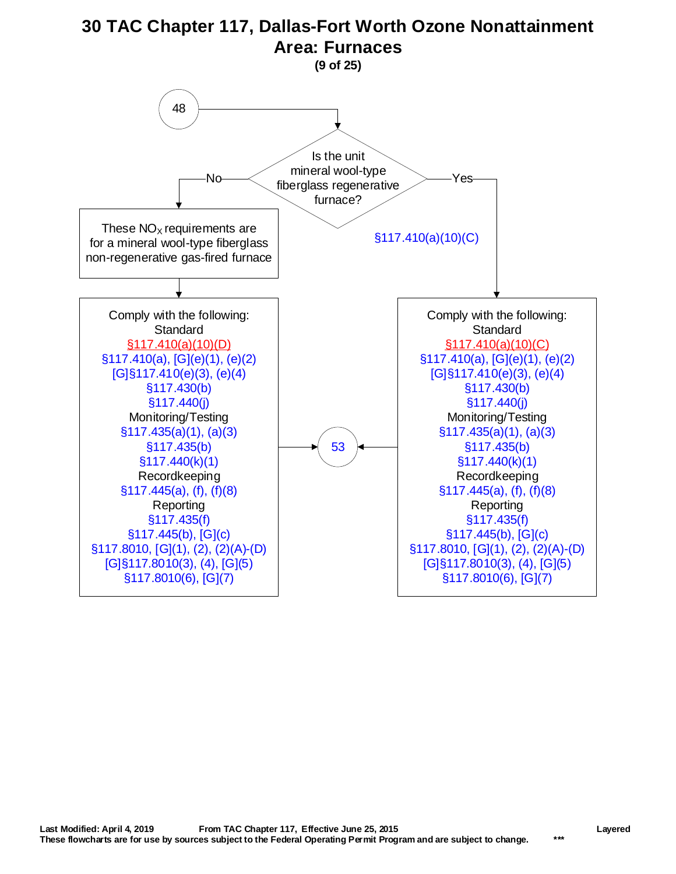<span id="page-8-0"></span>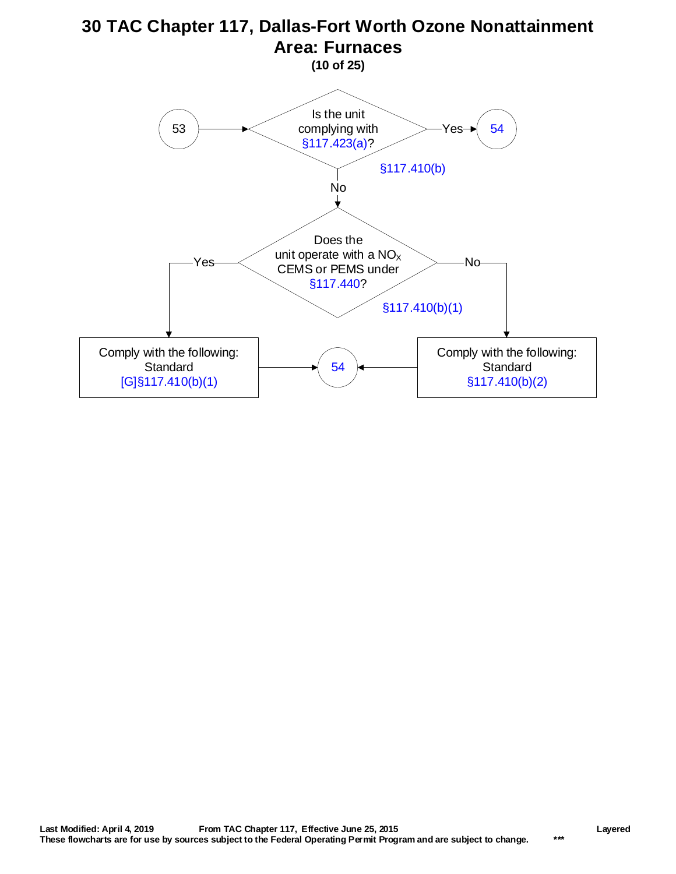<span id="page-9-0"></span>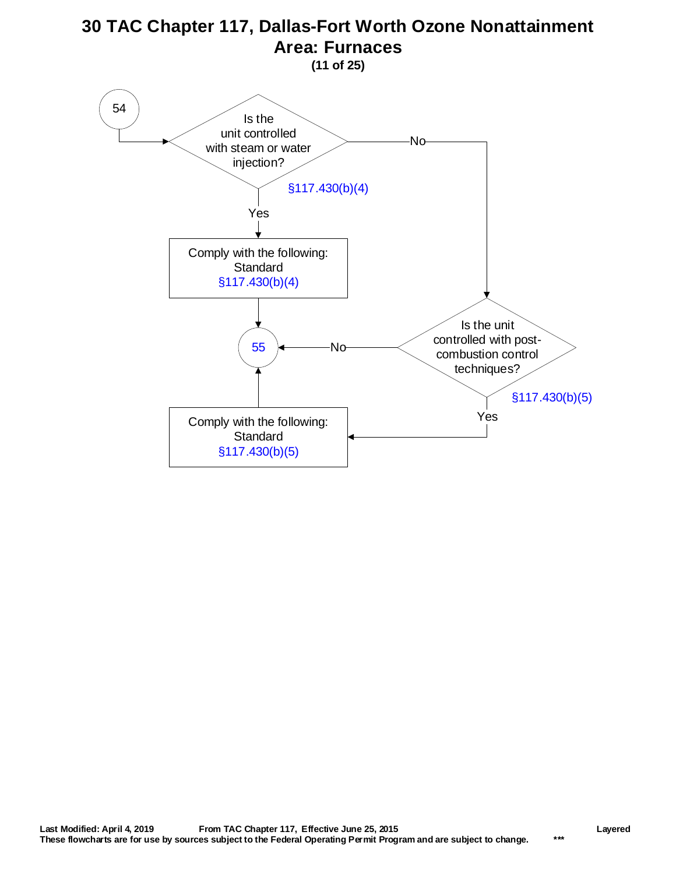**(11 of 25)**

<span id="page-10-0"></span>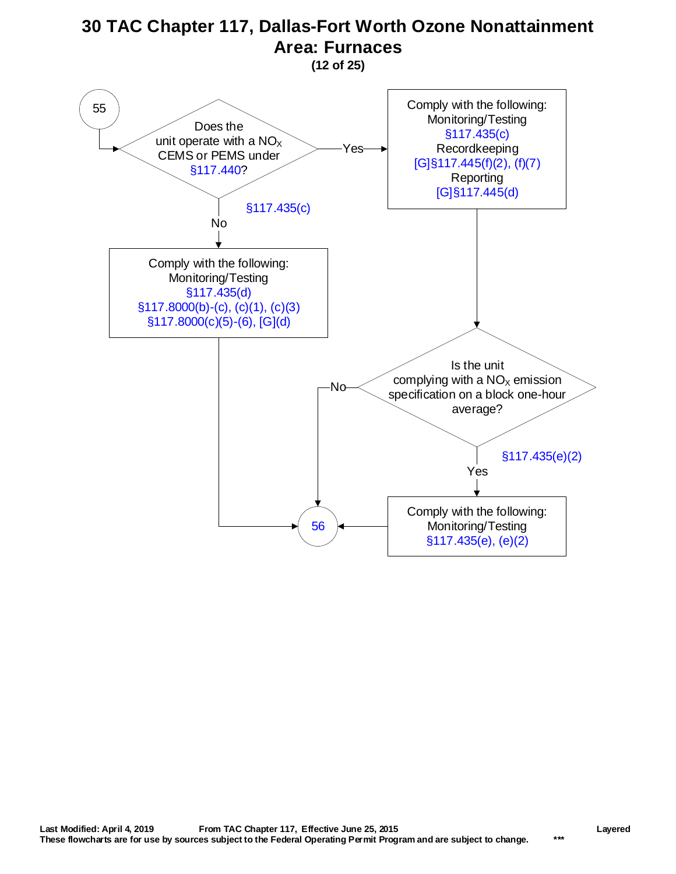**(12 of 25)**

<span id="page-11-0"></span>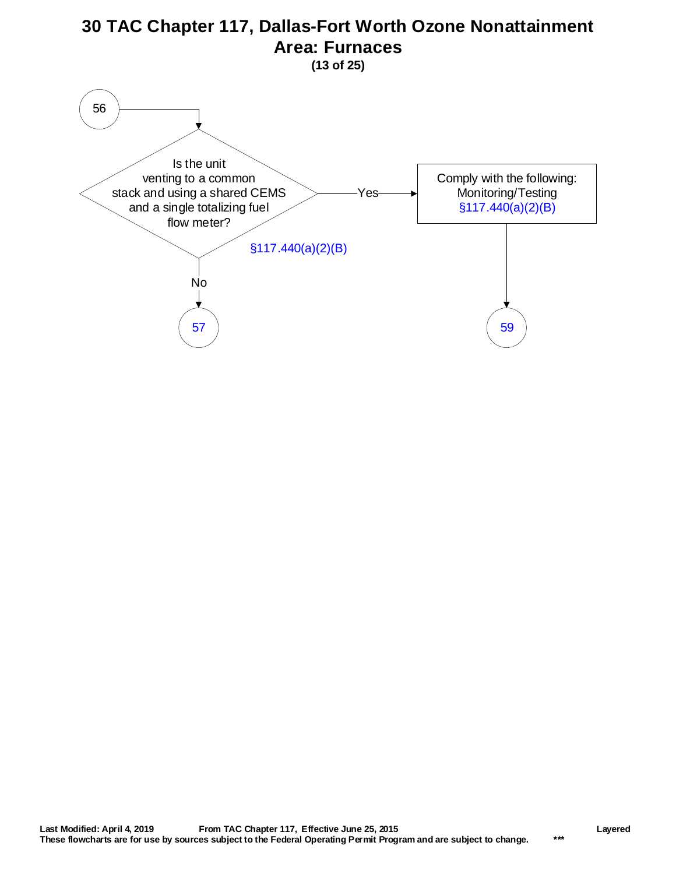<span id="page-12-0"></span>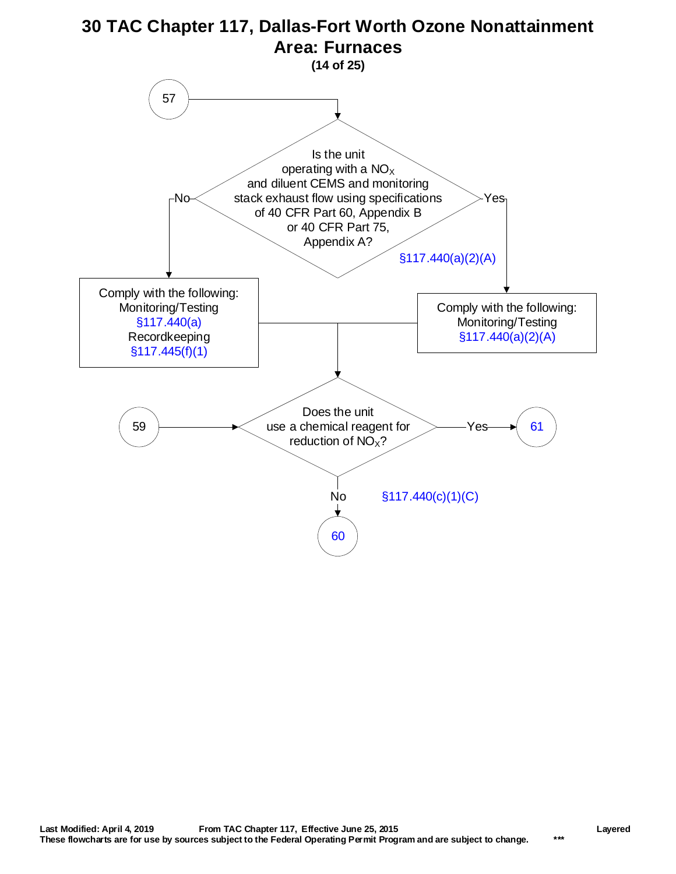<span id="page-13-0"></span>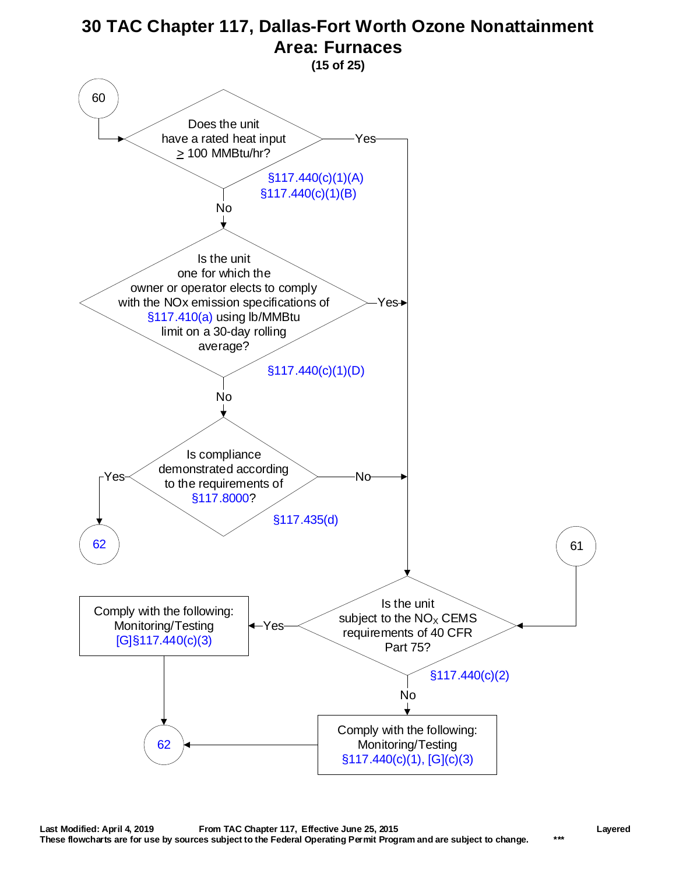<span id="page-14-0"></span>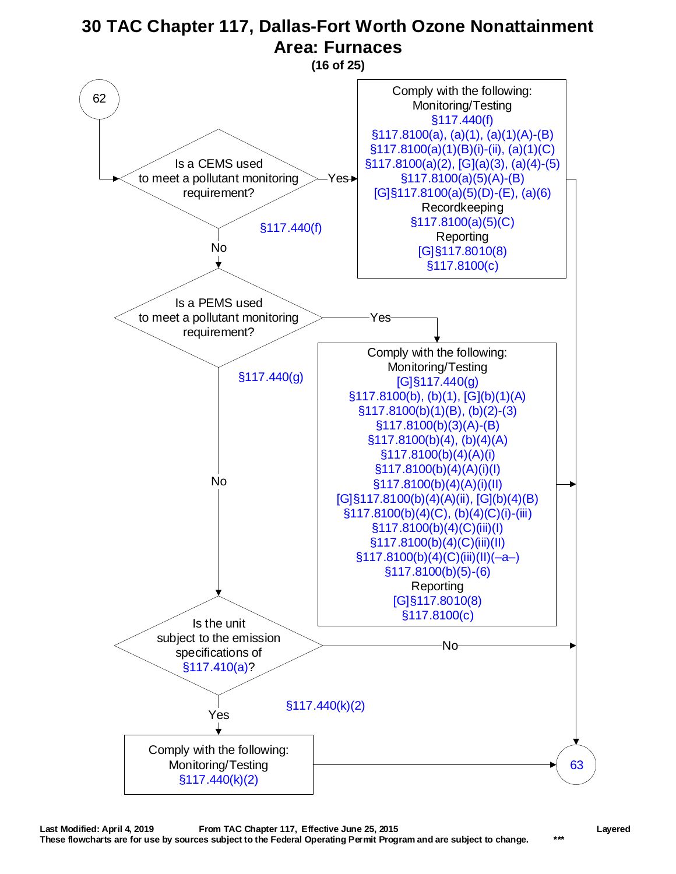<span id="page-15-0"></span>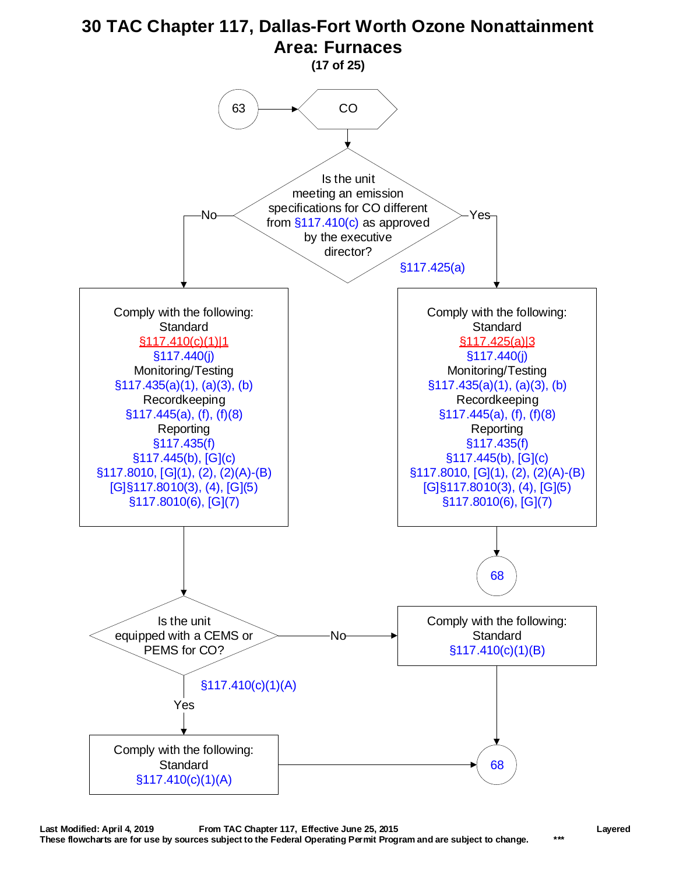<span id="page-16-0"></span>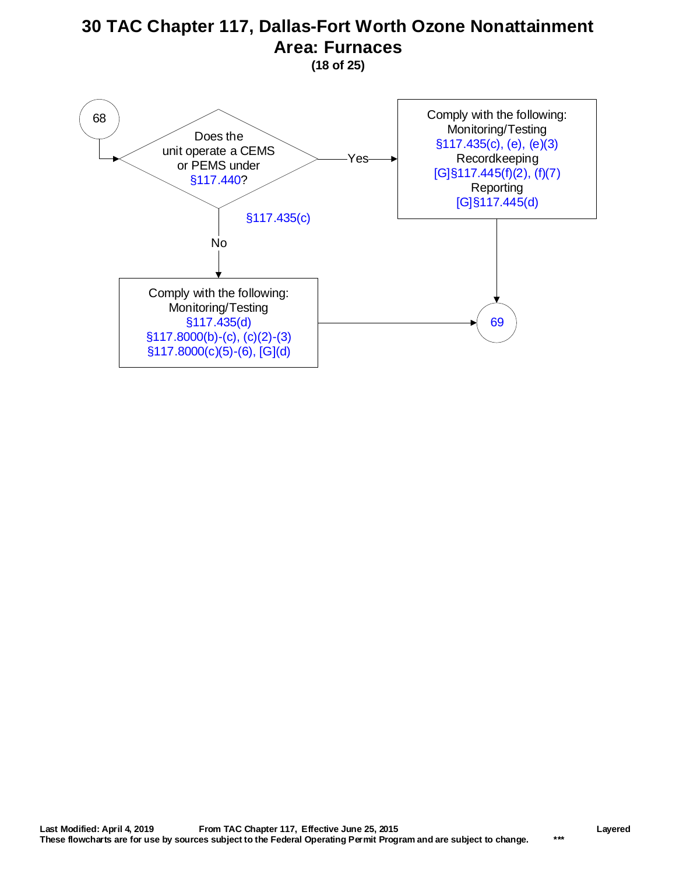**(18 of 25)**

<span id="page-17-0"></span>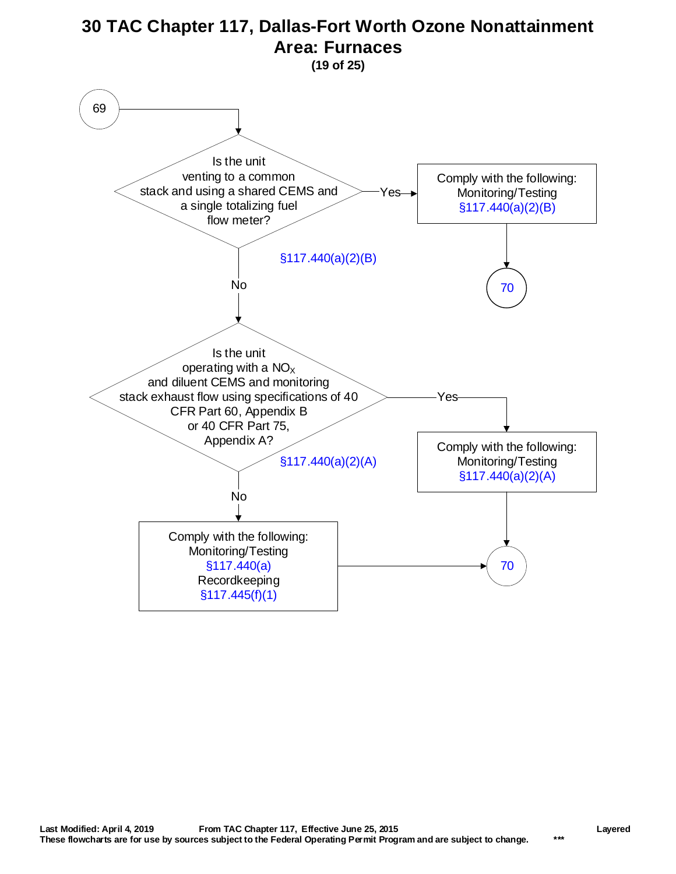<span id="page-18-0"></span>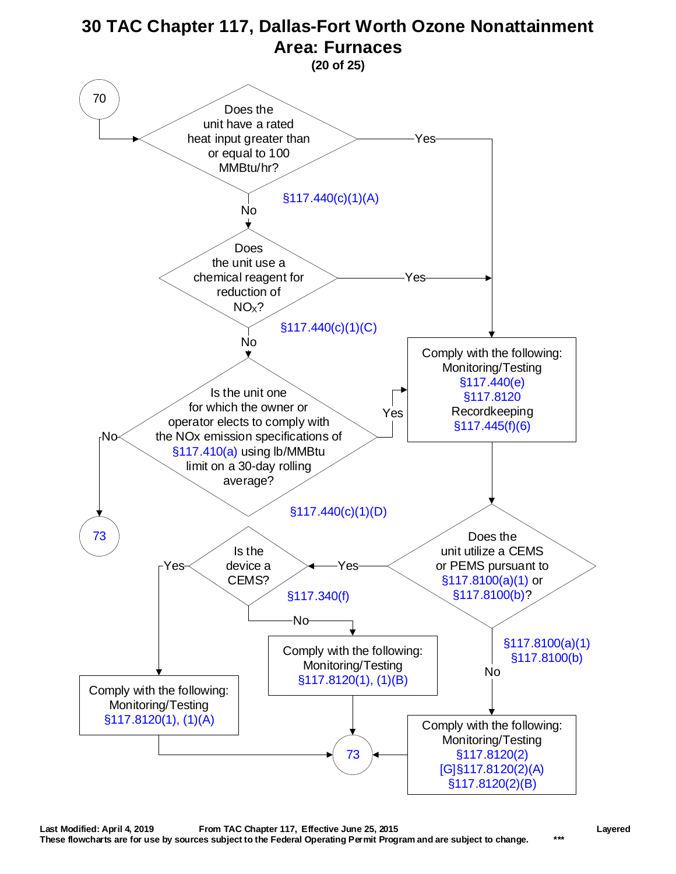<span id="page-19-0"></span>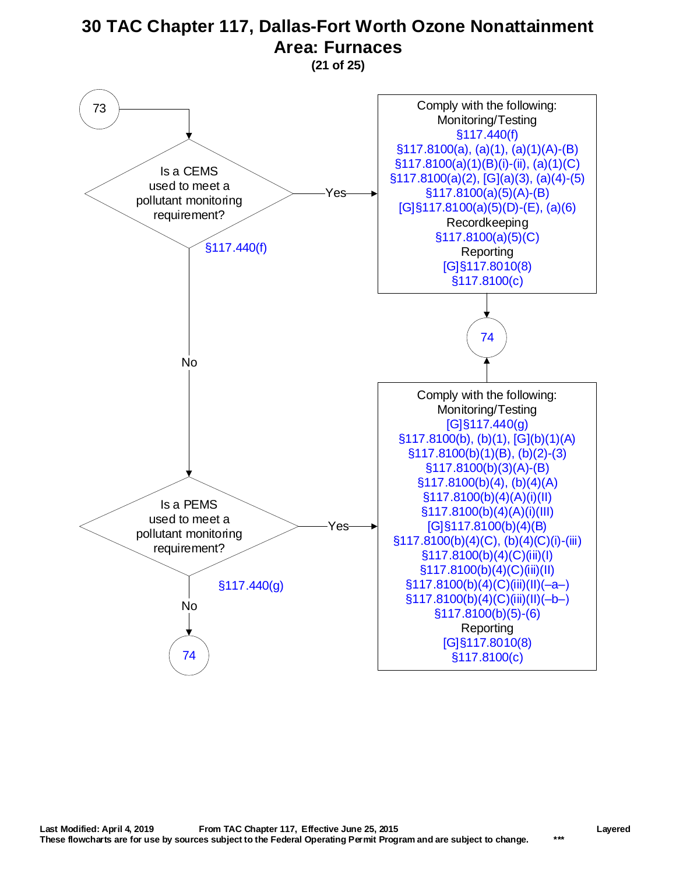**(21 of 25)**

<span id="page-20-0"></span>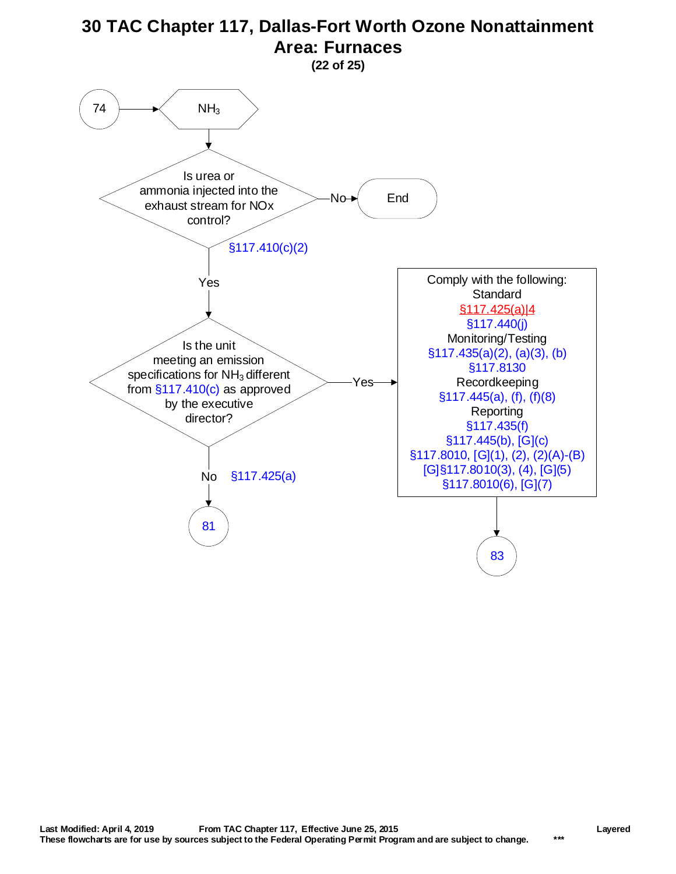<span id="page-21-0"></span>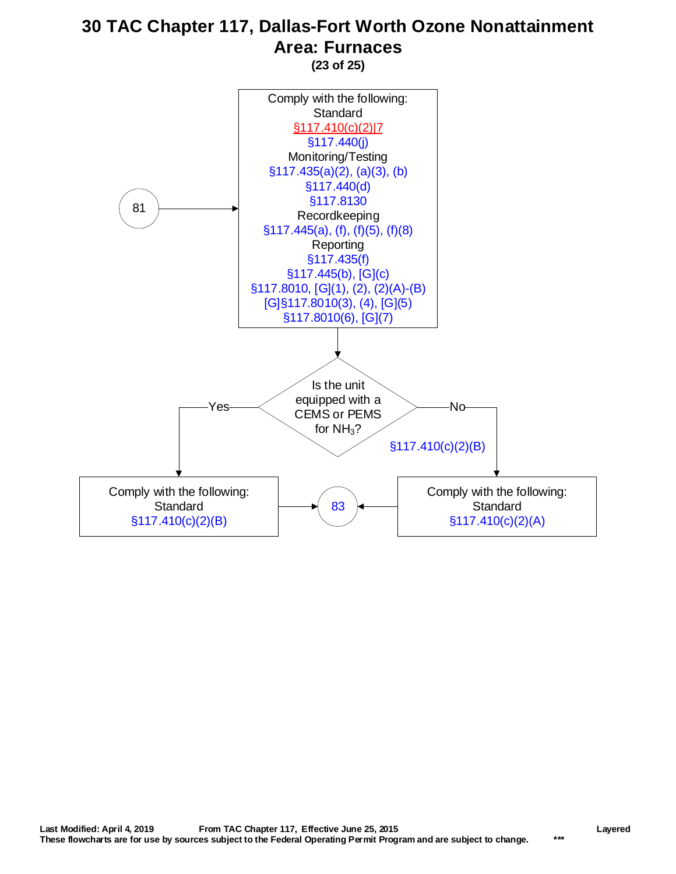<span id="page-22-0"></span>81 [§117.410\(c\)\(2\)\(B\)](http://texreg.sos.state.tx.us/public/readtac$ext.TacPage?sl=R&app=9&p_dir=&p_rloc=&p_tloc=&p_ploc=&pg=1&p_tac=&ti=30&pt=1&ch=117&rl=410) Yes Is the unit equipped with a CEMS or PEMS for  $NH<sub>3</sub>$ ? Comply with the following: **Standard** [§117.410\(c\)\(2\)\(B\)](http://texreg.sos.state.tx.us/public/readtac$ext.TacPage?sl=R&app=9&p_dir=&p_rloc=&p_tloc=&p_ploc=&pg=1&p_tac=&ti=30&pt=1&ch=117&rl=410) Comply with the following: **Standard**  $§117.410(c)(2)(A)$ Comply with the following: **Standard** [§117.410\(c\)\(2\)|7](https://www.tceq.texas.gov/downloads/permitting/air-rules/state/30-tac-117/re7b4-engi.pdf#page=14) [§117.440\(j\)](http://texreg.sos.state.tx.us/public/readtac$ext.TacPage?sl=R&app=9&p_dir=&p_rloc=&p_tloc=&p_ploc=&pg=1&p_tac=&ti=30&pt=1&ch=117&rl=440) Monitoring/Testing [§117.435\(a\)\(2\), \(a\)\(3\), \(b\)](http://texreg.sos.state.tx.us/public/readtac$ext.TacPage?sl=R&app=9&p_dir=&p_rloc=&p_tloc=&p_ploc=&pg=1&p_tac=&ti=30&pt=1&ch=117&rl=435) [§117.440\(d\)](http://texreg.sos.state.tx.us/public/readtac$ext.TacPage?sl=R&app=9&p_dir=&p_rloc=&p_tloc=&p_ploc=&pg=1&p_tac=&ti=30&pt=1&ch=117&rl=440) [§117.8130](http://texreg.sos.state.tx.us/public/readtac$ext.TacPage?sl=R&app=9&p_dir=&p_rloc=&p_tloc=&p_ploc=&pg=1&p_tac=&ti=30&pt=1&ch=117&rl=8130) Recordkeeping [§117.445\(a\), \(f\), \(f\)\(5\), \(f\)\(8\)](http://texreg.sos.state.tx.us/public/readtac$ext.TacPage?sl=R&app=9&p_dir=&p_rloc=&p_tloc=&p_ploc=&pg=1&p_tac=&ti=30&pt=1&ch=117&rl=445) **Reporting** [§117.435\(f\)](http://texreg.sos.state.tx.us/public/readtac$ext.TacPage?sl=R&app=9&p_dir=&p_rloc=&p_tloc=&p_ploc=&pg=1&p_tac=&ti=30&pt=1&ch=117&rl=435) [§117.445\(b\), \[G\]\(c\)](http://texreg.sos.state.tx.us/public/readtac$ext.TacPage?sl=R&app=9&p_dir=&p_rloc=&p_tloc=&p_ploc=&pg=1&p_tac=&ti=30&pt=1&ch=117&rl=445) [§117.8010, \[G\]\(1\), \(2\), \(2\)\(A\)-\(B\)](http://texreg.sos.state.tx.us/public/readtac$ext.TacPage?sl=R&app=9&p_dir=&p_rloc=&p_tloc=&p_ploc=&pg=1&p_tac=&ti=30&pt=1&ch=117&rl=8010) [G]§117.8010(3), (4), [G](5) §117.8010(6), [G](7) [83](#page-23-0) No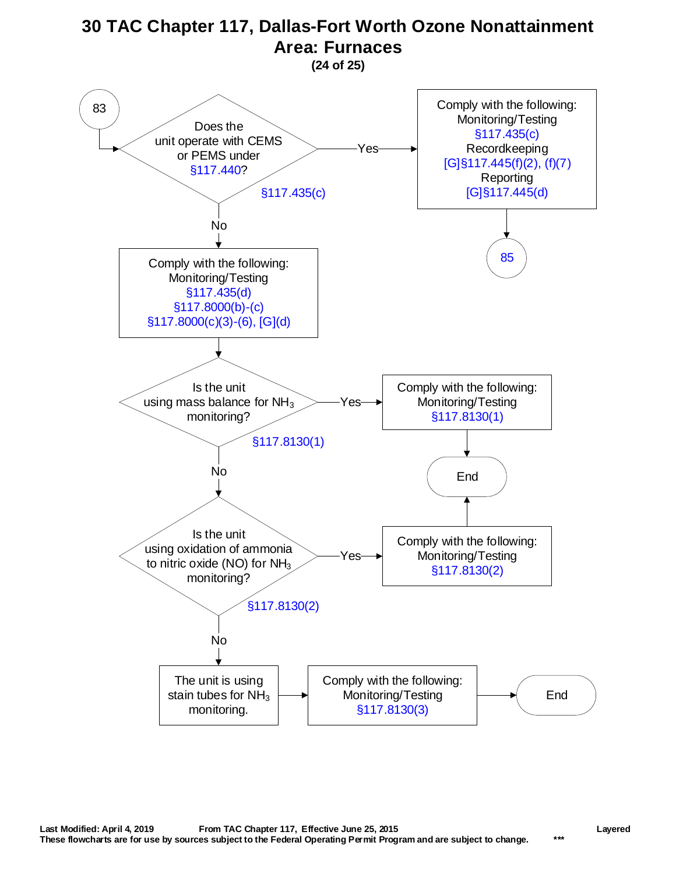**(24 of 25)**

<span id="page-23-0"></span>